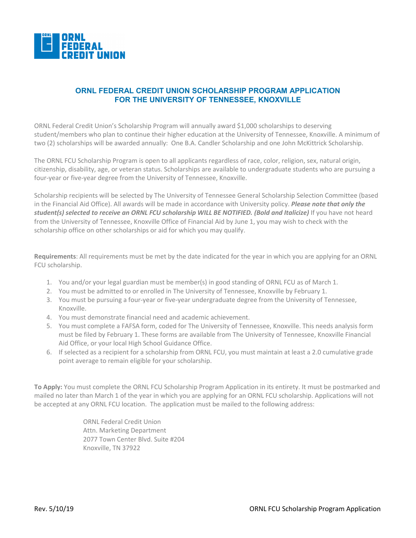

## **ORNL FEDERAL CREDIT UNION SCHOLARSHIP PROGRAM APPLICATION FOR THE UNIVERSITY OF TENNESSEE, KNOXVILLE**

ORNL Federal Credit Union's Scholarship Program will annually award \$1,000 scholarships to deserving student/members who plan to continue their higher education at the University of Tennessee, Knoxville. A minimum of two (2) scholarships will be awarded annually: One B.A. Candler Scholarship and one John McKittrick Scholarship.

The ORNL FCU Scholarship Program is open to all applicants regardless of race, color, religion, sex, natural origin, citizenship, disability, age, or veteran status. Scholarships are available to undergraduate students who are pursuing a four-year or five-year degree from the University of Tennessee, Knoxville.

Scholarship recipients will be selected by The University of Tennessee General Scholarship Selection Committee (based in the Financial Aid Office). All awards will be made in accordance with University policy. *Please note that only the student(s) selected to receive an ORNL FCU scholarship WILL BE NOTIFIED. (Bold and Italicize)* If you have not heard from the University of Tennessee, Knoxville Office of Financial Aid by June 1, you may wish to check with the scholarship office on other scholarships or aid for which you may qualify.

**Requirements**: All requirements must be met by the date indicated for the year in which you are applying for an ORNL FCU scholarship.

- 1. You and/or your legal guardian must be member(s) in good standing of ORNL FCU as of March 1.
- 2. You must be admitted to or enrolled in The University of Tennessee, Knoxville by February 1.
- 3. You must be pursuing a four-year or five-year undergraduate degree from the University of Tennessee, Knoxville.
- 4. You must demonstrate financial need and academic achievement.
- 5. You must complete a FAFSA form, coded for The University of Tennessee, Knoxville. This needs analysis form must be filed by February 1. These forms are available from The University of Tennessee, Knoxville Financial Aid Office, or your local High School Guidance Office.
- 6. If selected as a recipient for a scholarship from ORNL FCU, you must maintain at least a 2.0 cumulative grade point average to remain eligible for your scholarship.

**To Apply:** You must complete the ORNL FCU Scholarship Program Application in its entirety. It must be postmarked and mailed no later than March 1 of the year in which you are applying for an ORNL FCU scholarship. Applications will not be accepted at any ORNL FCU location. The application must be mailed to the following address:

> ORNL Federal Credit Union Attn. Marketing Department 2077 Town Center Blvd. Suite #204 Knoxville, TN 37922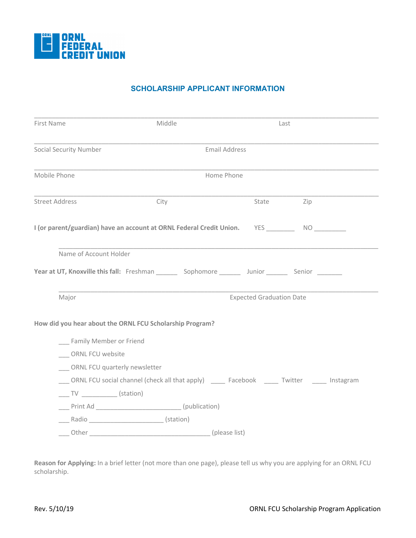

## **SCHOLARSHIP APPLICANT INFORMATION**

| First Name                                                                                        | Middle               | Last                            |     |
|---------------------------------------------------------------------------------------------------|----------------------|---------------------------------|-----|
| <b>Social Security Number</b>                                                                     | <b>Email Address</b> |                                 |     |
| Mobile Phone                                                                                      | Home Phone           |                                 |     |
| <b>Street Address</b>                                                                             | City                 | State                           | Zip |
| I (or parent/guardian) have an account at ORNL Federal Credit Union.<br>YES NO                    |                      |                                 |     |
| Name of Account Holder                                                                            |                      |                                 |     |
| <b>Year at UT, Knoxville this fall:</b> Freshman Sophomore Junior Senior Senior                   |                      |                                 |     |
| Major                                                                                             |                      | <b>Expected Graduation Date</b> |     |
| How did you hear about the ORNL FCU Scholarship Program?                                          |                      |                                 |     |
| Family Member or Friend                                                                           |                      |                                 |     |
| <b>ORNL FCU website</b>                                                                           |                      |                                 |     |
| ORNL FCU quarterly newsletter                                                                     |                      |                                 |     |
| ORNL FCU social channel (check all that apply) _______ Facebook _______ Twitter _______ Instagram |                      |                                 |     |
| $\frac{1}{\sqrt{1-\frac{1}{2}}}\sqrt{1-\frac{1}{2}}$ (station)                                    |                      |                                 |     |
| ____ Print Ad _________________________________(publication)                                      |                      |                                 |     |
| ______ Radio _________________________________(station)                                           |                      |                                 |     |
|                                                                                                   | Other (please list)  |                                 |     |

**Reason for Applying:** In a brief letter (not more than one page), please tell us why you are applying for an ORNL FCU scholarship.